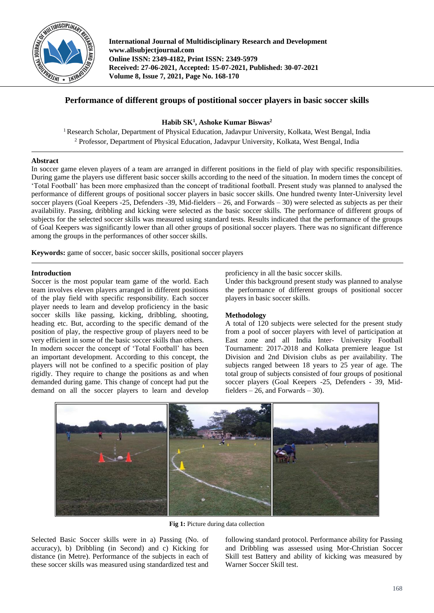

**International Journal of Multidisciplinary Research and Development www.allsubjectjournal.com Online ISSN: 2349-4182, Print ISSN: 2349-5979 Received: 27-06-2021, Accepted: 15-07-2021, Published: 30-07-2021 Volume 8, Issue 7, 2021, Page No. 168-170**

# **Performance of different groups of postitional soccer players in basic soccer skills**

**Habib SK<sup>1</sup> , Ashoke Kumar Biswas<sup>2</sup>**

<sup>1</sup> Research Scholar, Department of Physical Education, Jadavpur University, Kolkata, West Bengal, India <sup>2</sup> Professor, Department of Physical Education, Jadavpur University, Kolkata, West Bengal, India

## **Abstract**

In soccer game eleven players of a team are arranged in different positions in the field of play with specific responsibilities. During game the players use different basic soccer skills according to the need of the situation. In modern times the concept of 'Total Football' has been more emphasized than the concept of traditional football. Present study was planned to analysed the performance of different groups of positional soccer players in basic soccer skills. One hundred twenty Inter-University level soccer players (Goal Keepers -25, Defenders -39, Mid-fielders – 26, and Forwards – 30) were selected as subjects as per their availability. Passing, dribbling and kicking were selected as the basic soccer skills. The performance of different groups of subjects for the selected soccer skills was measured using standard tests. Results indicated that the performance of the groups of Goal Keepers was significantly lower than all other groups of positional soccer players. There was no significant difference among the groups in the performances of other soccer skills.

**Keywords:** game of soccer, basic soccer skills, positional soccer players

## **Introduction**

Soccer is the most popular team game of the world. Each team involves eleven players arranged in different positions of the play field with specific responsibility. Each soccer player needs to learn and develop proficiency in the basic soccer skills like passing, kicking, dribbling, shooting, heading etc. But, according to the specific demand of the position of play, the respective group of players need to be very efficient in some of the basic soccer skills than others.

In modern soccer the concept of 'Total Football' has been an important development. According to this concept, the players will not be confined to a specific position of play rigidly. They require to change the positions as and when demanded during game. This change of concept had put the demand on all the soccer players to learn and develop proficiency in all the basic soccer skills.

Under this background present study was planned to analyse the performance of different groups of positional soccer players in basic soccer skills.

# **Methodology**

A total of 120 subjects were selected for the present study from a pool of soccer players with level of participation at East zone and all India Inter- University Football Tournament: 2017-2018 and Kolkata premiere league 1st Division and 2nd Division clubs as per availability. The subjects ranged between 18 years to 25 year of age. The total group of subjects consisted of four groups of positional soccer players (Goal Keepers -25, Defenders - 39, Midfielders  $-26$ , and Forwards  $-30$ ).



**Fig 1:** Picture during data collection

Selected Basic Soccer skills were in a) Passing (No. of accuracy), b) Dribbling (in Second) and c) Kicking for distance (in Metre). Performance of the subjects in each of these soccer skills was measured using standardized test and

following standard protocol. Performance ability for Passing and Dribbling was assessed using Mor-Christian Soccer Skill test Battery and ability of kicking was measured by Warner Soccer Skill test.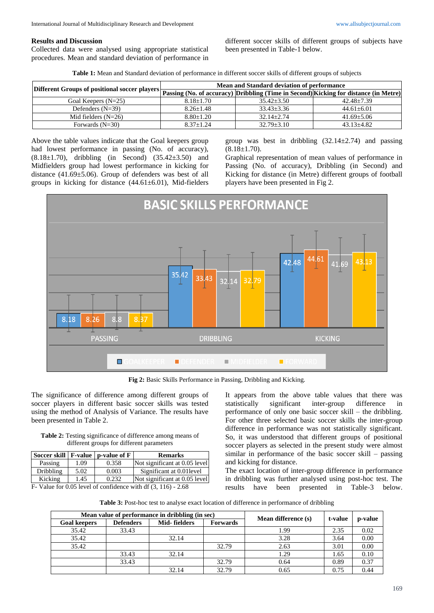#### **Results and Discussion**

Collected data were analysed using appropriate statistical procedures. Mean and standard deviation of performance in different soccer skills of different groups of subjects have been presented in Table-1 below.

| Table 1: Mean and Standard deviation of performance in different soccer skills of different groups of subjects |
|----------------------------------------------------------------------------------------------------------------|
|----------------------------------------------------------------------------------------------------------------|

|                       | Mean and Standard deviation of performance<br>Different Groups of positional soccer players <b>Passing (No. of accuracy)</b> Dribbling (Time in Second) Kicking for distance (in Metre) <sup>1</sup> |                  |                  |  |
|-----------------------|------------------------------------------------------------------------------------------------------------------------------------------------------------------------------------------------------|------------------|------------------|--|
|                       |                                                                                                                                                                                                      |                  |                  |  |
| Goal Keepers $(N=25)$ | $8.18 + 1.70$                                                                                                                                                                                        | $35.42 + 3.50$   | $42.48 + 7.39$   |  |
| Defenders $(N=39)$    | $8.26 + 1.48$                                                                                                                                                                                        | $33.43 + 3.36$   | $44.61 + 6.01$   |  |
| Mid fielders $(N=26)$ | $8.80 + 1.20$                                                                                                                                                                                        | $32.14 + 2.74$   | $41.69 + 5.06$   |  |
| Forwards $(N=30)$     | $8.37 + 1.24$                                                                                                                                                                                        | $32.79 \pm 3.10$ | $43.13 \pm 4.82$ |  |

Above the table values indicate that the Goal keepers group had lowest performance in passing (No. of accuracy),  $(8.18\pm1.70)$ , dribbling (in Second)  $(35.42\pm3.50)$  and Midfielders group had lowest performance in kicking for distance (41.69±5.06). Group of defenders was best of all groups in kicking for distance  $(44.61 \pm 6.01)$ , Mid-fielders group was best in dribbling  $(32.14 \pm 2.74)$  and passing  $(8.18 \pm 1.70).$ 

Graphical representation of mean values of performance in Passing (No. of accuracy), Dribbling (in Second) and Kicking for distance (in Metre) different groups of football players have been presented in Fig 2.



**Fig 2:** Basic Skills Performance in Passing, Dribbling and Kicking.

The significance of difference among different groups of soccer players in different basic soccer skills was tested using the method of Analysis of Variance. The results have been presented in Table 2.

**Table 2:** Testing significance of difference among means of different groups for different parameters

|                                                                 |      | Soccer skill   F-value   p-value of F | <b>Remarks</b>                |  |  |  |
|-----------------------------------------------------------------|------|---------------------------------------|-------------------------------|--|--|--|
| Passing                                                         | 1.09 | 0.358                                 | Not significant at 0.05 level |  |  |  |
| Dribbling                                                       | 5.02 | 0.003                                 | Significant at 0.01 level     |  |  |  |
| Kicking                                                         | 1.45 | 0.232                                 | Not significant at 0.05 level |  |  |  |
| F- Value for 0.05 level of confidence with df $(3, 116)$ - 2.68 |      |                                       |                               |  |  |  |

statistically significant inter-group difference in performance of only one basic soccer skill – the dribbling. For other three selected basic soccer skills the inter-group difference in performance was not statistically significant. So, it was understood that different groups of positional soccer players as selected in the present study were almost similar in performance of the basic soccer skill – passing and kicking for distance.

It appears from the above table values that there was

The exact location of inter-group difference in performance in dribbling was further analysed using post-hoc test. The results have been presented in Table-3 below.

Table 3: Post-hoc test to analyse exact location of difference in performance of dribbling

| Mean value of performance in dribbling (in sec) |                  |              |                 |                     |         |         |  |  |  |  |
|-------------------------------------------------|------------------|--------------|-----------------|---------------------|---------|---------|--|--|--|--|
| <b>Goal keepers</b>                             | <b>Defenders</b> | Mid-fielders | <b>Forwards</b> | Mean difference (s) | t-value | p-value |  |  |  |  |
| 35.42                                           | 33.43            |              |                 | 1.99                | 2.35    | 0.02    |  |  |  |  |
| 35.42                                           |                  | 32.14        |                 | 3.28                | 3.64    | 0.00    |  |  |  |  |
| 35.42                                           |                  |              | 32.79           | 2.63                | 3.01    | 0.00    |  |  |  |  |
|                                                 | 33.43            | 32.14        |                 | 1.29                | 1.65    | 0.10    |  |  |  |  |
|                                                 | 33.43            |              | 32.79           | 0.64                | 0.89    | 0.37    |  |  |  |  |
|                                                 |                  | 32.14        | 32.79           | 0.65                | 0.75    | 0.44    |  |  |  |  |